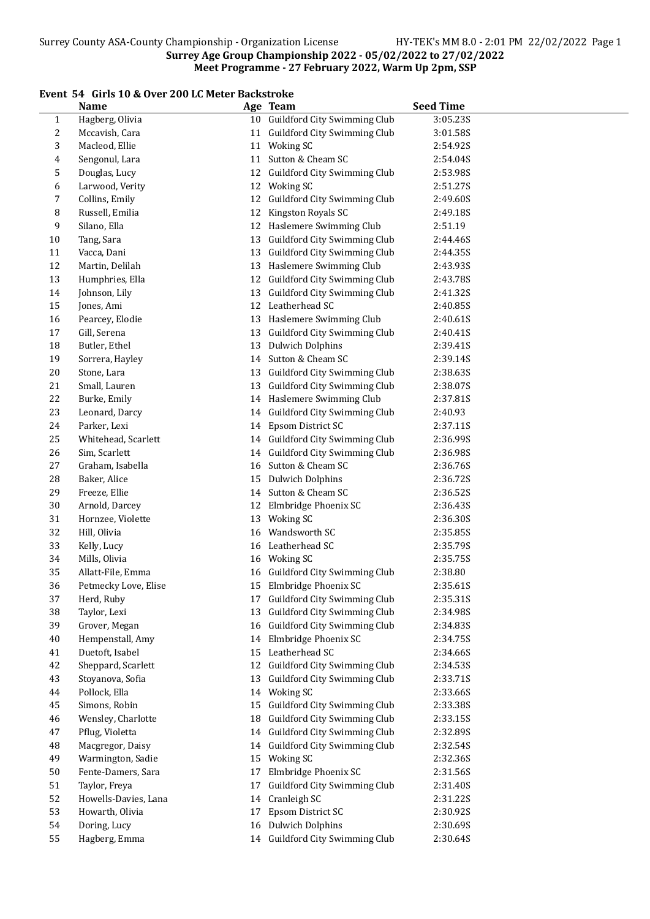# Event 54 Girls 10 & Over 200 LC Meter Backstroke

|              | <b>Name</b>          |    | Age Team                        | <b>Seed Time</b> |
|--------------|----------------------|----|---------------------------------|------------------|
| $\mathbf{1}$ | Hagberg, Olivia      |    | 10 Guildford City Swimming Club | 3:05.23S         |
| 2            | Mccavish, Cara       |    | 11 Guildford City Swimming Club | 3:01.58S         |
| 3            | Macleod, Ellie       |    | 11 Woking SC                    | 2:54.92S         |
| 4            | Sengonul, Lara       |    | 11 Sutton & Cheam SC            | 2:54.04S         |
| 5            | Douglas, Lucy        |    | 12 Guildford City Swimming Club | 2:53.98S         |
| 6            | Larwood, Verity      |    | 12 Woking SC                    | 2:51.27S         |
| 7            | Collins, Emily       |    | 12 Guildford City Swimming Club | 2:49.60S         |
| 8            | Russell, Emilia      | 12 | Kingston Royals SC              | 2:49.18S         |
| 9            | Silano, Ella         |    | 12 Haslemere Swimming Club      | 2:51.19          |
| 10           | Tang, Sara           |    | 13 Guildford City Swimming Club | 2:44.46S         |
| 11           | Vacca, Dani          |    | 13 Guildford City Swimming Club | 2:44.35S         |
| 12           | Martin, Delilah      |    | 13 Haslemere Swimming Club      | 2:43.93S         |
| 13           | Humphries, Ella      |    | 12 Guildford City Swimming Club | 2:43.78S         |
| 14           | Johnson, Lily        |    | 13 Guildford City Swimming Club | 2:41.32S         |
| 15           | Jones, Ami           |    | 12 Leatherhead SC               | 2:40.85S         |
| 16           | Pearcey, Elodie      |    | 13 Haslemere Swimming Club      | 2:40.61S         |
| $17\,$       | Gill, Serena         |    | 13 Guildford City Swimming Club | 2:40.41S         |
| 18           | Butler, Ethel        | 13 | <b>Dulwich Dolphins</b>         | 2:39.41S         |
| 19           | Sorrera, Hayley      |    | 14 Sutton & Cheam SC            | 2:39.14S         |
| $20\,$       | Stone, Lara          | 13 | Guildford City Swimming Club    | 2:38.63S         |
| 21           | Small, Lauren        | 13 | Guildford City Swimming Club    | 2:38.07S         |
| 22           | Burke, Emily         |    | 14 Haslemere Swimming Club      | 2:37.81S         |
| 23           | Leonard, Darcy       |    | 14 Guildford City Swimming Club | 2:40.93          |
| 24           | Parker, Lexi         | 14 | Epsom District SC               | 2:37.11S         |
| 25           | Whitehead, Scarlett  |    | 14 Guildford City Swimming Club | 2:36.99S         |
| 26           | Sim, Scarlett        |    | 14 Guildford City Swimming Club | 2:36.98S         |
| 27           | Graham, Isabella     | 16 | Sutton & Cheam SC               | 2:36.76S         |
| 28           | Baker, Alice         |    | 15 Dulwich Dolphins             | 2:36.72S         |
| 29           | Freeze, Ellie        |    | 14 Sutton & Cheam SC            | 2:36.52S         |
| 30           | Arnold, Darcey       |    | 12 Elmbridge Phoenix SC         | 2:36.43S         |
| 31           | Hornzee, Violette    |    | 13 Woking SC                    | 2:36.30S         |
| 32           | Hill, Olivia         | 16 | Wandsworth SC                   | 2:35.85S         |
| 33           | Kelly, Lucy          |    | 16 Leatherhead SC               | 2:35.79S         |
| 34           | Mills, Olivia        |    | 16 Woking SC                    | 2:35.75S         |
| 35           | Allatt-File, Emma    |    | 16 Guildford City Swimming Club | 2:38.80          |
| 36           | Petmecky Love, Elise |    | 15 Elmbridge Phoenix SC         | 2:35.61S         |
| 37           | Herd, Ruby           |    | 17 Guildford City Swimming Club | 2:35.31S         |
| 38           | Taylor, Lexi         | 13 | Guildford City Swimming Club    | 2:34.98S         |
| 39           | Grover, Megan        |    | 16 Guildford City Swimming Club | 2:34.835         |
| $40\,$       | Hempenstall, Amy     |    | 14 Elmbridge Phoenix SC         | 2:34.75S         |
| 41           | Duetoft, Isabel      |    | 15 Leatherhead SC               | 2:34.66S         |
| 42           | Sheppard, Scarlett   |    | 12 Guildford City Swimming Club | 2:34.53S         |
| 43           | Stoyanova, Sofia     |    | 13 Guildford City Swimming Club | 2:33.71S         |
| 44           | Pollock, Ella        |    | 14 Woking SC                    | 2:33.66S         |
| 45           | Simons, Robin        |    | 15 Guildford City Swimming Club | 2:33.38S         |
| 46           | Wensley, Charlotte   | 18 | Guildford City Swimming Club    | 2:33.15S         |
| 47           | Pflug, Violetta      |    | 14 Guildford City Swimming Club | 2:32.89S         |
| 48           | Macgregor, Daisy     |    | 14 Guildford City Swimming Club | 2:32.54S         |
| 49           | Warmington, Sadie    |    | 15 Woking SC                    | 2:32.36S         |
| 50           | Fente-Damers, Sara   | 17 | Elmbridge Phoenix SC            | 2:31.56S         |
| 51           | Taylor, Freya        | 17 | Guildford City Swimming Club    | 2:31.40S         |
| 52           | Howells-Davies, Lana | 14 | Cranleigh SC                    | 2:31.22S         |
| 53           | Howarth, Olivia      | 17 | Epsom District SC               | 2:30.92S         |
| 54           | Doring, Lucy         | 16 | <b>Dulwich Dolphins</b>         | 2:30.69S         |
| 55           | Hagberg, Emma        |    | 14 Guildford City Swimming Club | 2:30.64S         |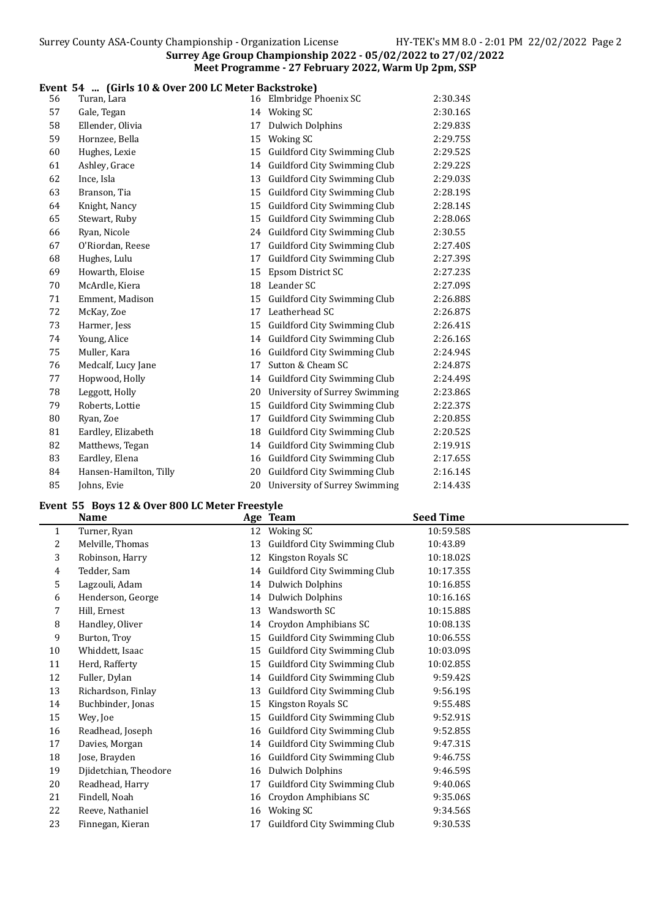#### Event 54 ... (Girls 10 & Over 200 LC Meter Backstroke)

| 56 | Turan, Lara            |    | 16 Elmbridge Phoenix SC          | 2:30.34S |
|----|------------------------|----|----------------------------------|----------|
| 57 | Gale, Tegan            |    | 14 Woking SC                     | 2:30.16S |
| 58 | Ellender, Olivia       | 17 | <b>Dulwich Dolphins</b>          | 2:29.83S |
| 59 | Hornzee, Bella         |    | 15 Woking SC                     | 2:29.75S |
| 60 | Hughes, Lexie          | 15 | Guildford City Swimming Club     | 2:29.52S |
| 61 | Ashley, Grace          |    | 14 Guildford City Swimming Club  | 2:29.22S |
| 62 | Ince, Isla             | 13 | Guildford City Swimming Club     | 2:29.03S |
| 63 | Branson, Tia           | 15 | Guildford City Swimming Club     | 2:28.19S |
| 64 | Knight, Nancy          | 15 | Guildford City Swimming Club     | 2:28.14S |
| 65 | Stewart, Ruby          | 15 | Guildford City Swimming Club     | 2:28.06S |
| 66 | Ryan, Nicole           |    | 24 Guildford City Swimming Club  | 2:30.55  |
| 67 | O'Riordan, Reese       | 17 | Guildford City Swimming Club     | 2:27.40S |
| 68 | Hughes, Lulu           | 17 | Guildford City Swimming Club     | 2:27.39S |
| 69 | Howarth, Eloise        | 15 | Epsom District SC                | 2:27.23S |
| 70 | McArdle, Kiera         |    | 18 Leander SC                    | 2:27.09S |
| 71 | Emment, Madison        | 15 | Guildford City Swimming Club     | 2:26.88S |
| 72 | McKay, Zoe             |    | 17 Leatherhead SC                | 2:26.87S |
| 73 | Harmer, Jess           | 15 | Guildford City Swimming Club     | 2:26.41S |
| 74 | Young, Alice           |    | 14 Guildford City Swimming Club  | 2:26.16S |
| 75 | Muller, Kara           | 16 | Guildford City Swimming Club     | 2:24.94S |
| 76 | Medcalf, Lucy Jane     | 17 | Sutton & Cheam SC                | 2:24.87S |
| 77 | Hopwood, Holly         |    | 14 Guildford City Swimming Club  | 2:24.49S |
| 78 | Leggott, Holly         | 20 | University of Surrey Swimming    | 2:23.86S |
| 79 | Roberts, Lottie        | 15 | Guildford City Swimming Club     | 2:22.37S |
| 80 | Ryan, Zoe              | 17 | Guildford City Swimming Club     | 2:20.85S |
| 81 | Eardley, Elizabeth     | 18 | Guildford City Swimming Club     | 2:20.52S |
| 82 | Matthews, Tegan        |    | 14 Guildford City Swimming Club  | 2:19.91S |
| 83 |                        | 16 | Guildford City Swimming Club     | 2:17.65S |
| 84 | Eardley, Elena         | 20 | Guildford City Swimming Club     |          |
|    | Hansen-Hamilton, Tilly |    |                                  | 2:16.14S |
| 85 | Johns, Evie            |    | 20 University of Surrey Swimming | 2:14.43S |

#### Event 55 Boys 12 & Over 800 LC Meter Freestyle

 $\overline{a}$ 

|    | <b>Name</b>           |    | Age Team                     | <b>Seed Time</b> |
|----|-----------------------|----|------------------------------|------------------|
| 1  | Turner, Ryan          | 12 | Woking SC                    | 10:59.58S        |
| 2  | Melville, Thomas      | 13 | Guildford City Swimming Club | 10:43.89         |
| 3  | Robinson, Harry       | 12 | Kingston Royals SC           | 10:18.02S        |
| 4  | Tedder, Sam           | 14 | Guildford City Swimming Club | 10:17.35S        |
| 5  | Lagzouli, Adam        | 14 | Dulwich Dolphins             | 10:16.85S        |
| 6  | Henderson, George     | 14 | <b>Dulwich Dolphins</b>      | 10:16.16S        |
| 7  | Hill, Ernest          | 13 | Wandsworth SC                | 10:15.88S        |
| 8  | Handley, Oliver       | 14 | Croydon Amphibians SC        | 10:08.13S        |
| 9  | Burton, Troy          | 15 | Guildford City Swimming Club | 10:06.55S        |
| 10 | Whiddett, Isaac       | 15 | Guildford City Swimming Club | 10:03.09S        |
| 11 | Herd, Rafferty        | 15 | Guildford City Swimming Club | 10:02.85S        |
| 12 | Fuller, Dylan         | 14 | Guildford City Swimming Club | 9:59.42S         |
| 13 | Richardson, Finlay    | 13 | Guildford City Swimming Club | 9:56.19S         |
| 14 | Buchbinder, Jonas     | 15 | Kingston Royals SC           | 9:55.48S         |
| 15 | Wey, Joe              | 15 | Guildford City Swimming Club | 9:52.91S         |
| 16 | Readhead, Joseph      | 16 | Guildford City Swimming Club | 9:52.85S         |
| 17 | Davies, Morgan        | 14 | Guildford City Swimming Club | 9:47.31S         |
| 18 | Jose, Brayden         | 16 | Guildford City Swimming Club | 9:46.75S         |
| 19 | Djidetchian, Theodore | 16 | <b>Dulwich Dolphins</b>      | 9:46.59S         |
| 20 | Readhead, Harry       | 17 | Guildford City Swimming Club | 9:40.06S         |
| 21 | Findell, Noah         | 16 | Croydon Amphibians SC        | 9:35.06S         |
| 22 | Reeve, Nathaniel      | 16 | Woking SC                    | 9:34.56S         |
| 23 | Finnegan, Kieran      | 17 | Guildford City Swimming Club | 9:30.53S         |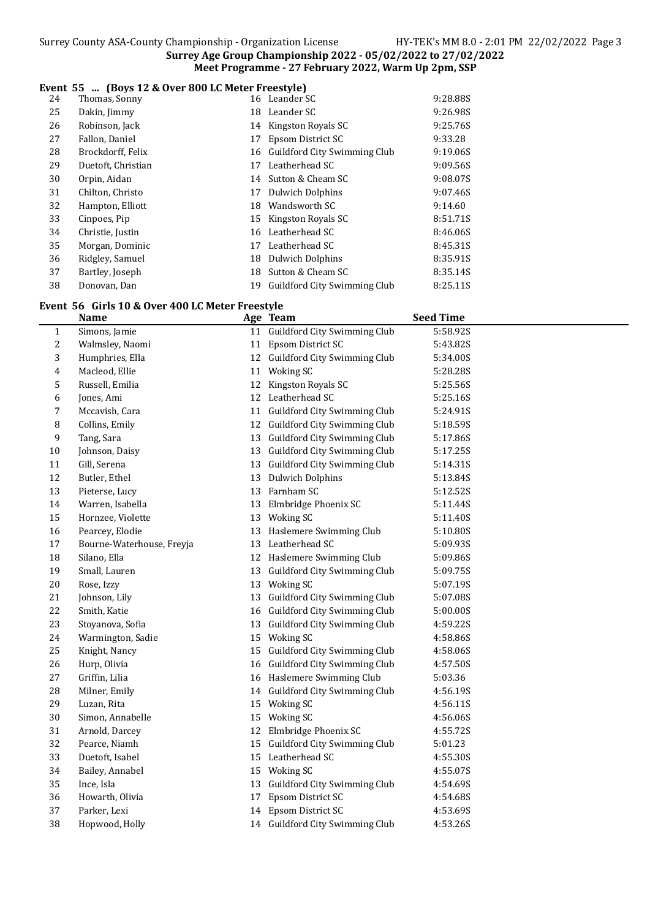## Event 55 ... (Boys 12 & Over 800 LC Meter Freestyle)

| 24 | Thomas, Sonny      |    | 16 Leander SC                | 9:28.88S |
|----|--------------------|----|------------------------------|----------|
| 25 | Dakin, Jimmy       |    | 18 Leander SC                | 9:26.98S |
| 26 | Robinson, Jack     | 14 | Kingston Royals SC           | 9:25.76S |
| 27 | Fallon, Daniel     | 17 | Epsom District SC            | 9:33.28  |
| 28 | Brockdorff, Felix  | 16 | Guildford City Swimming Club | 9:19.06S |
| 29 | Duetoft, Christian | 17 | Leatherhead SC               | 9:09.56S |
| 30 | Orpin, Aidan       | 14 | Sutton & Cheam SC            | 9:08.07S |
| 31 | Chilton, Christo   | 17 | Dulwich Dolphins             | 9:07.46S |
| 32 | Hampton, Elliott   | 18 | Wandsworth SC                | 9:14.60  |
| 33 | Cinpoes, Pip       |    | 15 Kingston Royals SC        | 8:51.71S |
| 34 | Christie, Justin   | 16 | Leatherhead SC               | 8:46.06S |
| 35 | Morgan, Dominic    | 17 | Leatherhead SC               | 8:45.31S |
| 36 | Ridgley, Samuel    |    | 18 Dulwich Dolphins          | 8:35.91S |
| 37 | Bartley, Joseph    | 18 | Sutton & Cheam SC            | 8:35.14S |
| 38 | Donovan, Dan       | 19 | Guildford City Swimming Club | 8:25.11S |

# Event 56 Girls 10 & Over 400 LC Meter Freestyle<br>Name Age Team

|              | <b>Name</b>               | Age Team                        | <b>Seed Time</b> |
|--------------|---------------------------|---------------------------------|------------------|
| $\mathbf{1}$ | Simons, Jamie             | 11 Guildford City Swimming Club | 5:58.92S         |
| 2            | Walmsley, Naomi           | 11 Epsom District SC            | 5:43.82S         |
| 3            | Humphries, Ella           | 12 Guildford City Swimming Club | 5:34.00S         |
| 4            | Macleod, Ellie            | 11 Woking SC                    | 5:28.285         |
| 5            | Russell, Emilia           | 12 Kingston Royals SC           | 5:25.56S         |
| 6            | Jones, Ami                | 12 Leatherhead SC               | 5:25.16S         |
| 7            | Mccavish, Cara            | 11 Guildford City Swimming Club | 5:24.91S         |
| 8            | Collins, Emily            | 12 Guildford City Swimming Club | 5:18.59S         |
| 9            | Tang, Sara                | 13 Guildford City Swimming Club | 5:17.86S         |
| $10\,$       | Johnson, Daisy            | 13 Guildford City Swimming Club | 5:17.25S         |
| 11           | Gill, Serena              | 13 Guildford City Swimming Club | 5:14.31S         |
| 12           | Butler, Ethel             | 13 Dulwich Dolphins             | 5:13.84S         |
| 13           | Pieterse, Lucy            | 13 Farnham SC                   | 5:12.52S         |
| 14           | Warren, Isabella          | 13 Elmbridge Phoenix SC         | 5:11.44S         |
| 15           | Hornzee, Violette         | 13 Woking SC                    | 5:11.40S         |
| 16           | Pearcey, Elodie           | 13 Haslemere Swimming Club      | 5:10.80S         |
| 17           | Bourne-Waterhouse, Freyja | 13 Leatherhead SC               | 5:09.93S         |
| 18           | Silano, Ella              | 12 Haslemere Swimming Club      | 5:09.86S         |
| 19           | Small, Lauren             | 13 Guildford City Swimming Club | 5:09.75S         |
| $20\,$       | Rose, Izzy                | 13 Woking SC                    | 5:07.19S         |
| 21           | Johnson, Lily             | 13 Guildford City Swimming Club | 5:07.08S         |
| $22\,$       | Smith, Katie              | 16 Guildford City Swimming Club | 5:00.00S         |
| 23           | Stoyanova, Sofia          | 13 Guildford City Swimming Club | 4:59.22S         |
| 24           | Warmington, Sadie         | 15 Woking SC                    | 4:58.86S         |
| 25           | Knight, Nancy             | 15 Guildford City Swimming Club | 4:58.06S         |
| 26           | Hurp, Olivia              | 16 Guildford City Swimming Club | 4:57.50S         |
| 27           | Griffin, Lilia            | 16 Haslemere Swimming Club      | 5:03.36          |
| 28           | Milner, Emily             | 14 Guildford City Swimming Club | 4:56.19S         |
| 29           | Luzan, Rita               | 15 Woking SC                    | 4:56.11S         |
| 30           | Simon, Annabelle          | 15 Woking SC                    | 4:56.06S         |
| 31           | Arnold, Darcey            | 12 Elmbridge Phoenix SC         | 4:55.72S         |
| 32           | Pearce, Niamh             | 15 Guildford City Swimming Club | 5:01.23          |
| 33           | Duetoft, Isabel           | 15 Leatherhead SC               | 4:55.30S         |
| 34           | Bailey, Annabel           | 15 Woking SC                    | 4:55.07S         |
| 35           | Ince, Isla                | 13 Guildford City Swimming Club | 4:54.69S         |
| 36           | Howarth, Olivia           | 17 Epsom District SC            | 4:54.68S         |
| 37           | Parker, Lexi              | 14 Epsom District SC            | 4:53.69S         |
| 38           | Hopwood, Holly            | 14 Guildford City Swimming Club | 4:53.26S         |